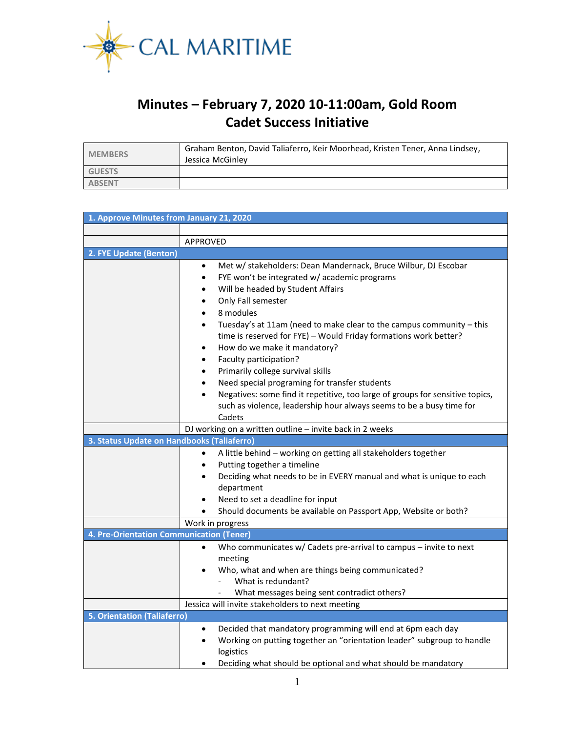

## **Minutes – February 7, 2020 10-11:00am, Gold Room Cadet Success Initiative**

| <b>MEMBERS</b> | Graham Benton, David Taliaferro, Keir Moorhead, Kristen Tener, Anna Lindsey,<br>Jessica McGinley |
|----------------|--------------------------------------------------------------------------------------------------|
| <b>GUESTS</b>  |                                                                                                  |
| <b>ABSENT</b>  |                                                                                                  |

| 1. Approve Minutes from January 21, 2020                                                               |                                                                                                                                                                                                                                                                                                                                                                                                                                                                                                                                                                                                                                                                                                                                                               |  |  |  |  |
|--------------------------------------------------------------------------------------------------------|---------------------------------------------------------------------------------------------------------------------------------------------------------------------------------------------------------------------------------------------------------------------------------------------------------------------------------------------------------------------------------------------------------------------------------------------------------------------------------------------------------------------------------------------------------------------------------------------------------------------------------------------------------------------------------------------------------------------------------------------------------------|--|--|--|--|
|                                                                                                        |                                                                                                                                                                                                                                                                                                                                                                                                                                                                                                                                                                                                                                                                                                                                                               |  |  |  |  |
|                                                                                                        | <b>APPROVED</b>                                                                                                                                                                                                                                                                                                                                                                                                                                                                                                                                                                                                                                                                                                                                               |  |  |  |  |
| 2. FYE Update (Benton)                                                                                 |                                                                                                                                                                                                                                                                                                                                                                                                                                                                                                                                                                                                                                                                                                                                                               |  |  |  |  |
|                                                                                                        | Met w/ stakeholders: Dean Mandernack, Bruce Wilbur, DJ Escobar<br>$\bullet$<br>FYE won't be integrated w/ academic programs<br>$\bullet$<br>Will be headed by Student Affairs<br>٠<br>Only Fall semester<br>٠<br>8 modules<br>$\bullet$<br>Tuesday's at 11am (need to make clear to the campus community - this<br>time is reserved for FYE) - Would Friday formations work better?<br>How do we make it mandatory?<br>$\bullet$<br>Faculty participation?<br>$\bullet$<br>Primarily college survival skills<br>$\bullet$<br>Need special programing for transfer students<br>$\bullet$<br>Negatives: some find it repetitive, too large of groups for sensitive topics,<br>$\bullet$<br>such as violence, leadership hour always seems to be a busy time for |  |  |  |  |
|                                                                                                        | Cadets                                                                                                                                                                                                                                                                                                                                                                                                                                                                                                                                                                                                                                                                                                                                                        |  |  |  |  |
| DJ working on a written outline - invite back in 2 weeks<br>3. Status Update on Handbooks (Taliaferro) |                                                                                                                                                                                                                                                                                                                                                                                                                                                                                                                                                                                                                                                                                                                                                               |  |  |  |  |
|                                                                                                        | A little behind - working on getting all stakeholders together<br>$\bullet$<br>Putting together a timeline<br>Deciding what needs to be in EVERY manual and what is unique to each<br>department<br>Need to set a deadline for input<br>Should documents be available on Passport App, Website or both?<br>$\bullet$<br>Work in progress                                                                                                                                                                                                                                                                                                                                                                                                                      |  |  |  |  |
| 4. Pre-Orientation Communication (Tener)                                                               |                                                                                                                                                                                                                                                                                                                                                                                                                                                                                                                                                                                                                                                                                                                                                               |  |  |  |  |
|                                                                                                        | Who communicates w/ Cadets pre-arrival to campus - invite to next<br>$\bullet$<br>meeting<br>Who, what and when are things being communicated?<br>What is redundant?<br>What messages being sent contradict others?                                                                                                                                                                                                                                                                                                                                                                                                                                                                                                                                           |  |  |  |  |
|                                                                                                        | Jessica will invite stakeholders to next meeting                                                                                                                                                                                                                                                                                                                                                                                                                                                                                                                                                                                                                                                                                                              |  |  |  |  |
| <b>5. Orientation (Taliaferro)</b>                                                                     |                                                                                                                                                                                                                                                                                                                                                                                                                                                                                                                                                                                                                                                                                                                                                               |  |  |  |  |
|                                                                                                        | Decided that mandatory programming will end at 6pm each day<br>$\bullet$<br>Working on putting together an "orientation leader" subgroup to handle<br>$\bullet$<br>logistics<br>Deciding what should be optional and what should be mandatory                                                                                                                                                                                                                                                                                                                                                                                                                                                                                                                 |  |  |  |  |